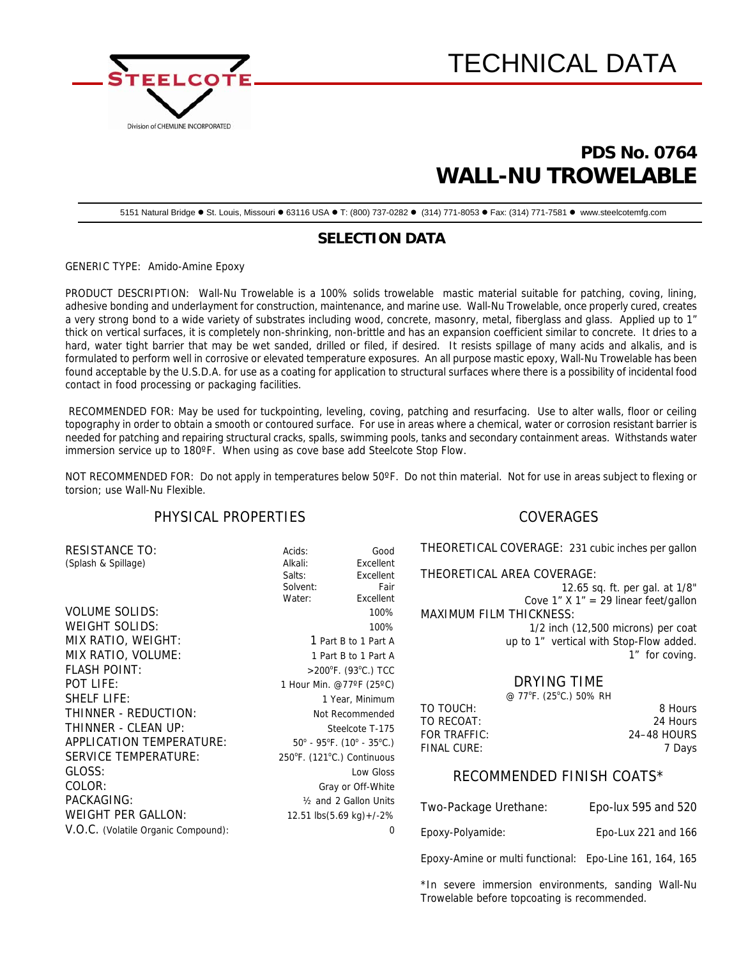



# **PDS No. 0764 WALL-NU TROWELABLE**

5151 Natural Bridge · St. Louis, Missouri · 63116 USA · T: (800) 737-0282 · (314) 771-8053 · Fax: (314) 771-7581 · www.steelcotemfg.com

# **SELECTION DATA**

GENERIC TYPE: Amido-Amine Epoxy

PRODUCT DESCRIPTION: Wall-Nu Trowelable is a 100% solids trowelable mastic material suitable for patching, coving, lining, adhesive bonding and underlayment for construction, maintenance, and marine use. Wall-Nu Trowelable, once properly cured, creates a very strong bond to a wide variety of substrates including wood, concrete, masonry, metal, fiberglass and glass. Applied up to 1" thick on vertical surfaces, it is completely non-shrinking, non-brittle and has an expansion coefficient similar to concrete. It dries to a hard, water tight barrier that may be wet sanded, drilled or filed, if desired. It resists spillage of many acids and alkalis, and is formulated to perform well in corrosive or elevated temperature exposures. An all purpose mastic epoxy, Wall-Nu Trowelable has been found acceptable by the U.S.D.A. for use as a coating for application to structural surfaces where there is a possibility of incidental food contact in food processing or packaging facilities.

 RECOMMENDED FOR: May be used for tuckpointing, leveling, coving, patching and resurfacing. Use to alter walls, floor or ceiling topography in order to obtain a smooth or contoured surface. For use in areas where a chemical, water or corrosion resistant barrier is needed for patching and repairing structural cracks, spalls, swimming pools, tanks and secondary containment areas. Withstands water immersion service up to 180ºF. When using as cove base add Steelcote Stop Flow.

NOT RECOMMENDED FOR: Do not apply in temperatures below 50ºF. Do not thin material. Not for use in areas subject to flexing or torsion; use Wall-Nu Flexible.

# PHYSICAL PROPERTIES

| <b>RESISTANCE TO:</b>               | Acids:               | Good                                                               |  |
|-------------------------------------|----------------------|--------------------------------------------------------------------|--|
| (Splash & Spillage)                 | Alkali:              | Excellent                                                          |  |
|                                     | Salts:               | Excellent                                                          |  |
|                                     | Solvent:             | Fair                                                               |  |
|                                     | Water:               | Excellent                                                          |  |
| <b>VOLUME SOLIDS:</b>               |                      | 100%                                                               |  |
| WEIGHT SOLIDS:                      |                      | 100%                                                               |  |
| MIX RATIO, WEIGHT:                  | 1 Part B to 1 Part A |                                                                    |  |
| MIX RATIO, VOLUME:                  |                      | 1 Part B to 1 Part A                                               |  |
| <b>FLASH POINT:</b>                 |                      | $>$ 200 $\degree$ F. (93 $\degree$ C.) TCC                         |  |
| <b>POT LIFE:</b>                    |                      | 1 Hour Min. @77°F (25°C)                                           |  |
| <b>SHELF LIFE:</b>                  |                      | 1 Year, Minimum                                                    |  |
| THINNER - REDUCTION:                |                      | Not Recommended                                                    |  |
| THINNER - CLEAN UP:                 |                      | Steelcote T-175                                                    |  |
| APPLICATION TEMPERATURE:            |                      | $50^{\circ}$ - 95 $^{\circ}$ F. (10 $^{\circ}$ - 35 $^{\circ}$ C.) |  |
| SERVICE TEMPERATURE:                |                      | 250°F. (121°C.) Continuous                                         |  |
| GLOSS:                              |                      | Low Gloss                                                          |  |
| COLOR:                              |                      | Gray or Off-White                                                  |  |
| PACKAGING:                          |                      | 1/ <sub>2</sub> and 2 Gallon Units                                 |  |
| <b>WEIGHT PER GALLON:</b>           |                      | 12.51 $\text{lbs}(5.69 \text{ kg}) +$ /-2%                         |  |
| V.O.C. (Volatile Organic Compound): |                      | 0                                                                  |  |

### COVERAGES

THEORETICAL COVERAGE: 231 cubic inches per gallon

THEORETICAL AREA COVERAGE:

12.65 sq. ft. per gal. at 1/8" Cove 1"  $X$  1" = 29 linear feet/gallon MAXIMUM FILM THICKNESS: 1/2 inch (12,500 microns) per coat up to 1" vertical with Stop-Flow added.

1" for coving.

# DRYING TIME

| @ 77°F. (25°C.) 50% RH |             |
|------------------------|-------------|
|                        | 8 Hours     |
|                        | 24 Hours    |
|                        | 24-48 HOURS |
|                        | 7 Davs      |
|                        |             |

### RECOMMENDED FINISH COATS\*

| Two-Package Urethane:                                   | Epo-lux 595 and 520 |
|---------------------------------------------------------|---------------------|
| Epoxy-Polyamide:                                        | Epo-Lux 221 and 166 |
| Epoxy-Amine or multi functional: Epo-Line 161, 164, 165 |                     |

\*In severe immersion environments, sanding Wall-Nu Trowelable before topcoating is recommended.